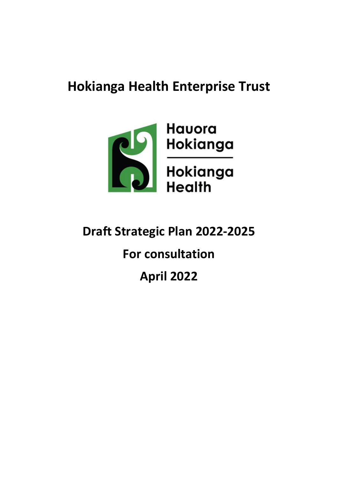## **Hokianga Health Enterprise Trust**



# **Draft Strategic Plan 2022-2025 For consultation April 2022**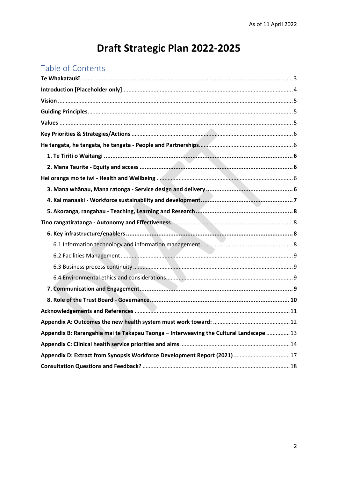## Draft Strategic Plan 2022-2025

## Table of Contents

| Appendix B: Rarangahia mai te Takapau Taonga - Interweaving the Cultural Landscape  13 |  |
|----------------------------------------------------------------------------------------|--|
|                                                                                        |  |
| Appendix D: Extract from Synopsis Workforce Development Report (2021)  17              |  |
|                                                                                        |  |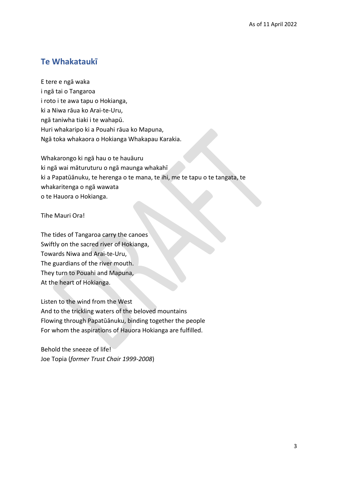## <span id="page-2-0"></span>**Te Whakataukī**

E tere e ngā waka i ngā tai o Tangaroa i roto i te awa tapu o Hokianga, ki a Niwa rāua ko Arai-te-Uru, ngā taniwha tiaki i te wahapū. Huri whakaripo ki a Pouahi rāua ko Mapuna, Ngā toka whakaora o Hokianga Whakapau Karakia.

Whakarongo ki ngā hau o te hauāuru ki ngā wai māturuturu o ngā maunga whakahī ki a Papatūānuku, te herenga o te mana, te ihi, me te tapu o te tangata, te whakaritenga o ngā wawata o te Hauora o Hokianga.

Tihe Mauri Ora!

The tides of Tangaroa carry the canoes Swiftly on the sacred river of Hokianga, Towards Niwa and Arai-te-Uru, The guardians of the river mouth. They turn to Pouahi and Mapuna, At the heart of Hokianga.

Listen to the wind from the West And to the trickling waters of the beloved mountains Flowing through Papatūānuku, binding together the people For whom the aspirations of Hauora Hokianga are fulfilled.

Behold the sneeze of life! Joe Topia (*former Trust Chair 1999-2008*)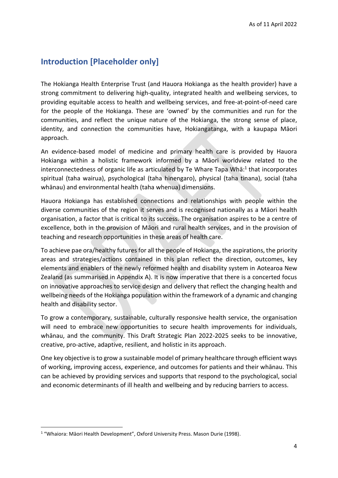## <span id="page-3-0"></span>**Introduction [Placeholder only]**

The Hokianga Health Enterprise Trust (and Hauora Hokianga as the health provider) have a strong commitment to delivering high-quality, integrated health and wellbeing services, to providing equitable access to health and wellbeing services, and free-at-point-of-need care for the people of the Hokianga. These are 'owned' by the communities and run for the communities, and reflect the unique nature of the Hokianga, the strong sense of place, identity, and connection the communities have, Hokiangatanga, with a kaupapa Māori approach.

An evidence-based model of medicine and primary health care is provided by Hauora Hokianga within a holistic framework informed by a Māori worldview related to the interconnectedness of organic life as articulated by Te Whare Tapa Whā:<sup>1</sup> that incorporates spiritual (taha wairua), psychological (taha hinengaro), physical (taha tinana), social (taha whānau) and environmental health (taha whenua) dimensions.

Hauora Hokianga has established connections and relationships with people within the diverse communities of the region it serves and is recognised nationally as a Māori health organisation, a factor that is critical to its success. The organisation aspires to be a centre of excellence, both in the provision of Māori and rural health services, and in the provision of teaching and research opportunities in these areas of health care.

To achieve pae ora/healthy futures for all the people of Hokianga, the aspirations, the priority areas and strategies/actions contained in this plan reflect the direction, outcomes, key elements and enablers of the newly reformed health and disability system in Aotearoa New Zealand (as summarised in Appendix A). It is now imperative that there is a concerted focus on innovative approaches to service design and delivery that reflect the changing health and wellbeing needs of the Hokianga population within the framework of a dynamic and changing health and disability sector.

To grow a contemporary, sustainable, culturally responsive health service, the organisation will need to embrace new opportunities to secure health improvements for individuals, whānau, and the community. This Draft Strategic Plan 2022-2025 seeks to be innovative, creative, pro-active, adaptive, resilient, and holistic in its approach.

One key objective isto grow a sustainable model of primary healthcare through efficient ways of working, improving access, experience, and outcomes for patients and their whānau. This can be achieved by providing services and supports that respond to the psychological, social and economic determinants of ill health and wellbeing and by reducing barriers to access.

<sup>&</sup>lt;sup>1</sup> "Whaiora: Māori Health Development", Oxford University Press. Mason Durie (1998).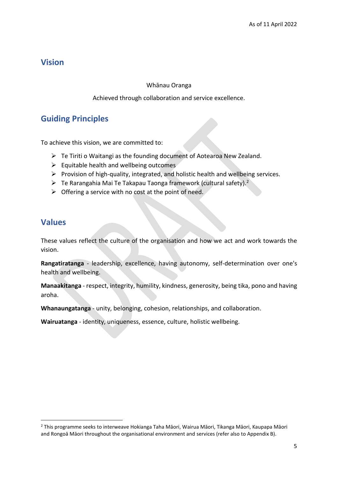## <span id="page-4-0"></span>**Vision**

#### Whānau Oranga

#### Achieved through collaboration and service excellence.

## <span id="page-4-1"></span>**Guiding Principles**

To achieve this vision, we are committed to:

- ➢ Te Tiriti o Waitangi as the founding document of Aotearoa New Zealand.
- $\triangleright$  Equitable health and wellbeing outcomes
- $\triangleright$  Provision of high-quality, integrated, and holistic health and wellbeing services.
- $\triangleright$  Te Rarangahia Mai Te Takapau Taonga framework (cultural safety).<sup>2</sup>
- $\triangleright$  Offering a service with no cost at the point of need.

## <span id="page-4-2"></span>**Values**

These values reflect the culture of the organisation and how we act and work towards the vision.

**Rangatiratanga** - leadership, excellence, having autonomy, self-determination over one's health and wellbeing.

**Manaakitanga** - respect, integrity, humility, kindness, generosity, being tika, pono and having aroha.

**Whanaungatanga** - unity, belonging, cohesion, relationships, and collaboration.

**Wairuatanga** - identity, uniqueness, essence, culture, holistic wellbeing.

<sup>2</sup> This programme seeks to interweave Hokianga Taha Māori, Wairua Māori, Tikanga Māori, Kaupapa Māori and Rongoā Māori throughout the organisational environment and services (refer also to Appendix B).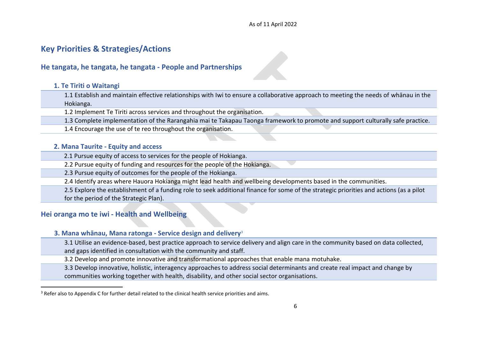#### As of 11 April 2022

## **Key Priorities & Strategies/Actions**

#### **He tangata, he tangata, he tangata - People and Partnerships**

#### **1. Te Tiriti o Waitangi**

1.1 Establish and maintain effective relationships with Iwi to ensure a collaborative approach to meeting the needs of whānau in the Hokianga.

1.2 Implement Te Tiriti across services and throughout the organisation.

1.3 Complete implementation of the Rarangahia mai te Takapau Taonga framework to promote and support culturally safe practice.

1.4 Encourage the use of te reo throughout the organisation.

#### **2. Mana Taurite - Equity and access**

2.1 Pursue equity of access to services for the people of Hokianga.

2.2 Pursue equity of funding and resources for the people of the Hokianga.

2.3 Pursue equity of outcomes for the people of the Hokianga.

<span id="page-5-0"></span>2.4 Identify areas where Hauora Hokianga might lead health and wellbeing developments based in the communities.

2.5 Explore the establishment of a funding role to seek additional finance for some of the strategic priorities and actions (as a pilot for the period of the Strategic Plan).

#### <span id="page-5-1"></span>**Hei oranga mo te iwi - Health and Wellbeing**

#### <span id="page-5-2"></span>**3. Mana whānau, Mana ratonga - Service design and delivery**<sup>3</sup>

3.1 Utilise an evidence-based, best practice approach to service delivery and align care in the community based on data collected,

and gaps identified in consultation with the community and staff.

3.2 Develop and promote innovative and transformational approaches that enable mana motuhake.

3.3 Develop innovative, holistic, interagency approaches to address social determinants and create real impact and change by communities working together with health, disability, and other social sector organisations.

<span id="page-5-5"></span><span id="page-5-4"></span><span id="page-5-3"></span><sup>&</sup>lt;sup>3</sup> Refer also to Appendix C for further detail related to the clinical health service priorities and aims.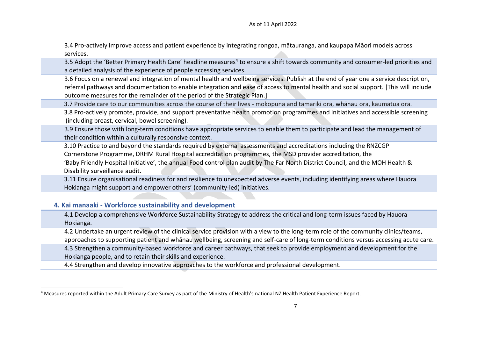3.4 Pro-actively improve access and patient experience by integrating rongoa, mātauranga, and kaupapa Māori models across services.

3.5 Adopt the 'Better Primary Health Care' headline measures<sup>4</sup> to ensure a shift towards community and consumer-led priorities and a detailed analysis of the experience of people accessing services.

3.6 Focus on a renewal and integration of mental health and wellbeing services. Publish at the end of year one a service description, referral pathways and documentation to enable integration and ease of access to mental health and social support. [This will include outcome measures for the remainder of the period of the Strategic Plan.]

3.7 Provide care to our communities across the course of their lives - mokopuna and tamariki ora, whānau ora, kaumatua ora.

 3.8 Pro-actively promote, provide, and support preventative health promotion programmes and initiatives and accessible screening (including breast, cervical, bowel screening).

3.9 Ensure those with long-term conditions have appropriate services to enable them to participate and lead the management of their condition within a culturally responsive context.

 3.10 Practice to and beyond the standards required by external assessments and accreditations including the RNZCGP Cornerstone Programme, DRHM Rural Hospital accreditation programmes, the MSD provider accreditation, the 'Baby Friendly Hospital Initiative', the annual Food control plan audit by The Far North District Council, and the MOH Health & Disability surveillance audit.

 3.11 Ensure organisational readiness for and resilience to unexpected adverse events, including identifying areas where Hauora Hokianga might support and empower others' (community-led) initiatives.

#### **4. Kai manaaki - Workforce sustainability and development**

4.1 Develop a comprehensive Workforce Sustainability Strategy to address the critical and long-term issues faced by Hauora Hokianga.

4.2 Undertake an urgent review of the clinical service provision with a view to the long-term role of the community clinics/teams, approaches to supporting patient and whānau wellbeing, screening and self-care of long-term conditions versus accessing acute care.

4.3 Strengthen a community-based workforce and career pathways, that seek to provide employment and development for the Hokianga people, and to retain their skills and experience.

4.4 Strengthen and develop innovative approaches to the workforce and professional development.

<span id="page-6-0"></span><sup>4</sup> Measures reported within the Adult Primary Care Survey as part of the Ministry of Health's national NZ Health Patient Experience Report.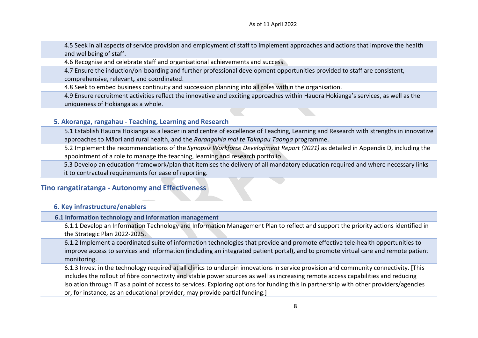4.5 Seek in all aspects of service provision and employment of staff to implement approaches and actions that improve the health and wellbeing of staff.

4.6 Recognise and celebrate staff and organisational achievements and success.

4.7 Ensure the induction/on-boarding and further professional development opportunities provided to staff are consistent, comprehensive, relevant**,** and coordinated.

4.8 Seek to embed business continuity and succession planning into all roles within the organisation.

4.9 Ensure recruitment activities reflect the innovative and exciting approaches within Hauora Hokianga's services, as well as the uniqueness of Hokianga as a whole.

#### **5. Akoranga, rangahau - Teaching, Learning and Research**

5.1 Establish Hauora Hokianga as a leader in and centre of excellence of Teaching, Learning and Research with strengths in innovative approaches to Māori and rural health, and the *Rarangahia mai te Takapau Taonga* programme.

5.2 Implement the recommendations of the *Synopsis Workforce Development Report (2021)* as detailed in Appendix D, including the appointment of a role to manage the teaching, learning and research portfolio.

 5.3 Develop an education framework/plan that itemises the delivery of all mandatory education required and where necessary links it to contractual requirements for ease of reporting.

#### **Tino rangatiratanga - Autonomy and Effectiveness**

#### **6. Key infrastructure/enablers**

#### **6.1 Information technology and information management**

6.1.1 Develop an Information Technology and Information Management Plan to reflect and support the priority actions identified in the Strategic Plan 2022-2025.

6.1.2 Implement a coordinated suite of information technologies that provide and promote effective tele-health opportunities to improve access to services and information (including an integrated patient portal)**,** and to promote virtual care and remote patient monitoring.

<span id="page-7-3"></span><span id="page-7-2"></span><span id="page-7-1"></span><span id="page-7-0"></span>6.1.3 Invest in the technology required at all clinics to underpin innovations in service provision and community connectivity. [This includes the rollout of fibre connectivity and stable power sources as well as increasing remote access capabilities and reducing isolation through IT as a point of access to services. Exploring options for funding this in partnership with other providers/agencies or, for instance, as an educational provider, may provide partial funding.]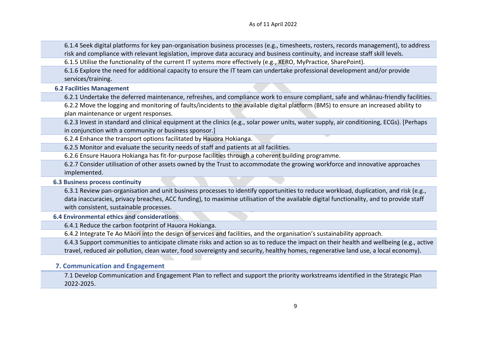6.1.4 Seek digital platforms for key pan-organisation business processes (e.g., timesheets, rosters, records management), to address risk and compliance with relevant legislation, improve data accuracy and business continuity, and increase staff skill levels.

6.1.5 Utilise the functionality of the current IT systems more effectively (e.g., XERO, MyPractice, SharePoint).

6.1.6 Explore the need for additional capacity to ensure the IT team can undertake professional development and/or provide services/training.

 **6.2 Facilities Management**

6.2.1 Undertake the deferred maintenance, refreshes, and compliance work to ensure compliant, safe and whānau-friendly facilities.

6.2.2 Move the logging and monitoring of faults/incidents to the available digital platform (BMS) to ensure an increased ability to plan maintenance or urgent responses.

6.2.3 Invest in standard and clinical equipment at the clinics (e.g., solar power units, water supply, air conditioning, ECGs). [Perhaps in conjunction with a community or business sponsor.]

6.2.4 Enhance the transport options facilitated by Hauora Hokianga.

6.2.5 Monitor and evaluate the security needs of staff and patients at all facilities.

6.2.6 Ensure Hauora Hokianga has fit-for-purpose facilities through a coherent building programme.

6.2.7 Consider utilisation of other assets owned by the Trust to accommodate the growing workforce and innovative approaches implemented.

 **6.3 Business process continuity**

6.3.1 Review pan-organisation and unit business processes to identify opportunities to reduce workload, duplication, and risk (e.g., data inaccuracies, privacy breaches, ACC funding), to maximise utilisation of the available digital functionality, and to provide staff with consistent, sustainable processes.

<span id="page-8-0"></span> **6.4 Environmental ethics and considerations**

6.4.1 Reduce the carbon footprint of Hauora Hokianga.

6.4.2 Integrate Te Ao Māori into the design of services and facilities, and the organisation's sustainability approach.

6.4.3 Support communities to anticipate climate risks and action so as to reduce the impact on their health and wellbeing (e.g., active travel, reduced air pollution, clean water, food sovereignty and security, healthy homes, regenerative land use, a local economy).

#### **7. Communication and Engagement**

<span id="page-8-3"></span><span id="page-8-2"></span><span id="page-8-1"></span>7.1 Develop Communication and Engagement Plan to reflect and support the priority workstreams identified in the Strategic Plan 2022-2025.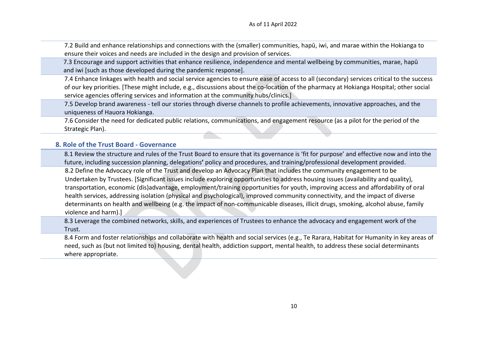7.2 Build and enhance relationships and connections with the (smaller) communities, hapū, iwi, and marae within the Hokianga to ensure their voices and needs are included in the design and provision of services.

 7.3 Encourage and support activities that enhance resilience, independence and mental wellbeing by communities, marae, hapū and iwi [such as those developed during the pandemic response].

7.4 Enhance linkages with health and social service agencies to ensure ease of access to all (secondary) services critical to the success of our key priorities. [These might include, e.g., discussions about the co-location of the pharmacy at Hokianga Hospital; other social service agencies offering services and information at the community hubs/clinics.]

7.5 Develop brand awareness - tell our stories through diverse channels to profile achievements, innovative approaches, and the uniqueness of Hauora Hokianga.

7.6 Consider the need for dedicated public relations, communications, and engagement resource (as a pilot for the period of the Strategic Plan).

#### **8. Role of the Trust Board - Governance**

8.1 Review the structure and rules of the Trust Board to ensure that its governance is 'fit for purpose' and effective now and into the future, including succession planning, delegations**'** policy and procedures, and training/professional development provided. 8.2 Define the Advocacy role of the Trust and develop an Advocacy Plan that includes the community engagement to be Undertaken by Trustees. [Significant issues include exploring opportunities to address housing issues (availability and quality), transportation, economic (dis)advantage, employment/training opportunities for youth, improving access and affordability of oral health services, addressing isolation (physical and psychological), improved community connectivity, and the impact of diverse determinants on health and wellbeing (e.g. the impact of non-communicable diseases, illicit drugs, smoking, alcohol abuse, family violence and harm).]

8.3 Leverage the combined networks, skills, and experiences of Trustees to enhance the advocacy and engagement work of the Trust.

<span id="page-9-0"></span>8.4 Form and foster relationships and collaborate with health and social services (e.g., Te Rarara, Habitat for Humanity in key areas of need, such as (but not limited to) housing, dental health, addiction support, mental health, to address these social determinants where appropriate.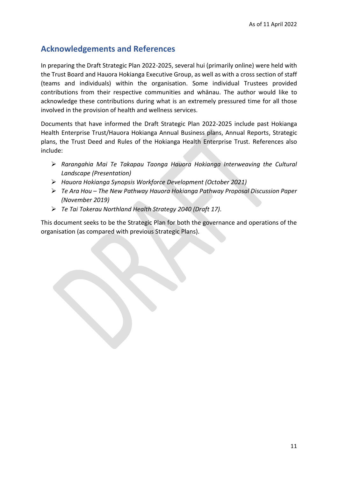## <span id="page-10-0"></span>**Acknowledgements and References**

In preparing the Draft Strategic Plan 2022-2025, several hui (primarily online) were held with the Trust Board and Hauora Hokianga Executive Group, as well as with a cross section of staff (teams and individuals) within the organisation. Some individual Trustees provided contributions from their respective communities and whānau. The author would like to acknowledge these contributions during what is an extremely pressured time for all those involved in the provision of health and wellness services.

Documents that have informed the Draft Strategic Plan 2022-2025 include past Hokianga Health Enterprise Trust/Hauora Hokianga Annual Business plans, Annual Reports, Strategic plans, the Trust Deed and Rules of the Hokianga Health Enterprise Trust. References also include:

- ➢ *Rarangahia Mai Te Takapau Taonga Hauora Hokianga Interweaving the Cultural Landscape (Presentation)*
- ➢ *Hauora Hokianga Synopsis Workforce Development (October 2021)*
- ➢ *Te Ara Hou – The New Pathway Hauora Hokianga Pathway Proposal Discussion Paper (November 2019)*
- ➢ *Te Tai Tokerau Northland Health Strategy 2040 (Draft 17).*

This document seeks to be the Strategic Plan for both the governance and operations of the organisation (as compared with previous Strategic Plans).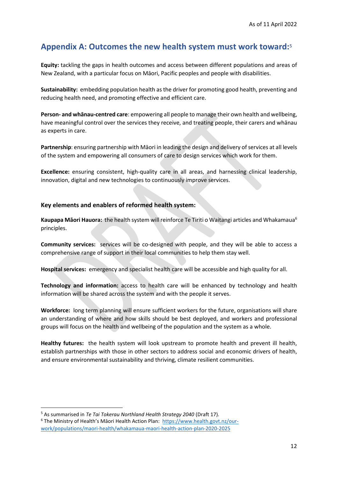## <span id="page-11-0"></span>**Appendix A: Outcomes the new health system must work toward:**<sup>5</sup>

**Equity:** tackling the gaps in health outcomes and access between different populations and areas of New Zealand, with a particular focus on Māori, Pacific peoples and people with disabilities.

**Sustainability:** embedding population health as the driver for promoting good health, preventing and reducing health need, and promoting effective and efficient care.

**Person- and whānau-centred care**: empowering all people to manage their own health and wellbeing, have meaningful control over the services they receive, and treating people, their carers and whānau as experts in care.

**Partnership**: ensuring partnership with Māori in leading the design and delivery of services at all levels of the system and empowering all consumers of care to design services which work for them.

**Excellence:** ensuring consistent, high-quality care in all areas, and harnessing clinical leadership, innovation, digital and new technologies to continuously improve services.

#### **Key elements and enablers of reformed health system:**

**Kaupapa Māori Hauora:** the health system will reinforce Te Tiriti o Waitangi articles and Whakamaua<sup>6</sup> principles.

**Community services:** services will be co-designed with people, and they will be able to access a comprehensive range of support in their local communities to help them stay well.

**Hospital services:** emergency and specialist health care will be accessible and high quality for all.

**Technology and information:** access to health care will be enhanced by technology and health information will be shared across the system and with the people it serves.

**Workforce:** long term planning will ensure sufficient workers for the future, organisations will share an understanding of where and how skills should be best deployed, and workers and professional groups will focus on the health and wellbeing of the population and the system as a whole.

**Healthy futures:** the health system will look upstream to promote health and prevent ill health, establish partnerships with those in other sectors to address social and economic drivers of health, and ensure environmental sustainability and thriving, climate resilient communities.

<sup>5</sup> As summarised in *Te Tai Tokerau Northland Health Strategy 2040* (Draft 17).

<sup>6</sup> The Ministry of Health's Māori Health Action Plan: [https://www.health.govt.nz/our](https://www.health.govt.nz/our-work/populations/maori-health/whakamaua-maori-health-action-plan-2020-2025)[work/populations/maori-health/whakamaua-maori-health-action-plan-2020-2025](https://www.health.govt.nz/our-work/populations/maori-health/whakamaua-maori-health-action-plan-2020-2025)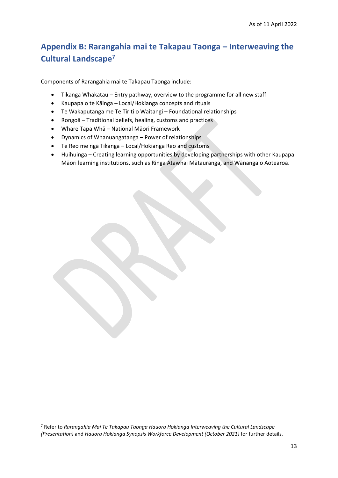## <span id="page-12-0"></span>**Appendix B: Rarangahia mai te Takapau Taonga – Interweaving the Cultural Landscape<sup>7</sup>**

Components of Rarangahia mai te Takapau Taonga include:

- Tikanga Whakatau Entry pathway, overview to the programme for all new staff
- Kaupapa o te Kāinga Local/Hokianga concepts and rituals
- Te Wakaputanga me Te Tiriti o Waitangi Foundational relationships
- Rongoā Traditional beliefs, healing, customs and practices
- Whare Tapa Whā National Māori Framework
- Dynamics of Whanuangatanga Power of relationships
- Te Reo me ngā Tikanga Local/Hokianga Reo and customs
- Huihuinga Creating learning opportunities by developing partnerships with other Kaupapa Māori learning institutions, such as Ringa Atawhai Mātauranga, and Wānanga o Aotearoa.

<sup>7</sup> Refer to *Rarangahia Mai Te Takapau Taonga Hauora Hokianga Interweaving the Cultural Landscape (Presentation)* and *Hauora Hokianga Synopsis Workforce Development (October 2021)* for further details.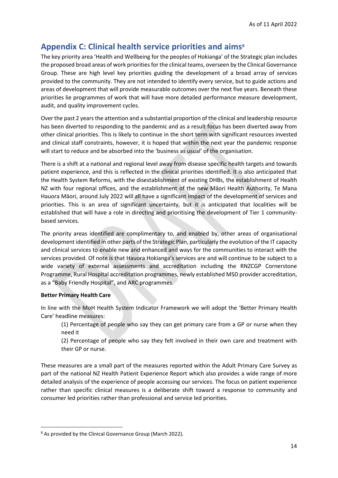## <span id="page-13-0"></span>**Appendix C: Clinical health service priorities and aims<sup>8</sup>**

The key priority area 'Health and Wellbeing for the peoples of Hokianga' of the Strategic plan includes the proposed broad areas of work priorities for the clinical teams, overseen by the Clinical Governance Group. These are high level key priorities guiding the development of a broad array of services provided to the community. They are not intended to identify every service, but to guide actions and areas of development that will provide measurable outcomes over the next five years. Beneath these priorities lie programmes of work that will have more detailed performance measure development, audit, and quality improvement cycles.

Over the past 2 years the attention and a substantial proportion of the clinical and leadership resource has been diverted to responding to the pandemic and as a result focus has been diverted away from other clinical priorities. This is likely to continue in the short term with significant resources invested and clinical staff constraints, however, it is hoped that within the next year the pandemic response will start to reduce and be absorbed into the 'business as usual' of the organisation.

There is a shift at a national and regional level away from disease specific health targets and towards patient experience, and this is reflected in the clinical priorities identified. It is also anticipated that the Health System Reforms, with the disestablishment of existing DHBs, the establishment of Health NZ with four regional offices, and the establishment of the new Māori Health Authority, Te Mana Hauora Māori, around July 2022 will all have a significant impact of the development of services and priorities. This is an area of significant uncertainty, but it is anticipated that localities will be established that will have a role in directing and prioritising the development of Tier 1 communitybased services.

The priority areas identified are complimentary to, and enabled by, other areas of organisational development identified in other parts of the Strategic Plan, particularly the evolution of the IT capacity and clinical services to enable new and enhanced and ways for the communities to interact with the services provided. Of note is that Hauora Hokianga's services are and will continue to be subject to a wide variety of external assessments and accreditation including the RNZCGP Cornerstone Programme, Rural Hospital accreditation programmes, newly established MSD provider accreditation, as a "Baby Friendly Hospital", and ARC programmes.

#### **Better Primary Health Care**

In line with the MoH Health System Indicator Framework we will adopt the 'Better Primary Health Care' headline measures:

(1) Percentage of people who say they can get primary care from a GP or nurse when they need it

(2) Percentage of people who say they felt involved in their own care and treatment with their GP or nurse.

These measures are a small part of the measures reported within the Adult Primary Care Survey as part of the national NZ Health Patient Experience Report which also provides a wide range of more detailed analysis of the experience of people accessing our services. The focus on patient experience rather than specific clinical measures is a deliberate shift toward a response to community and consumer led priorities rather than professional and service led priorities.

<sup>8</sup> As provided by the Clinical Governance Group (March 2022).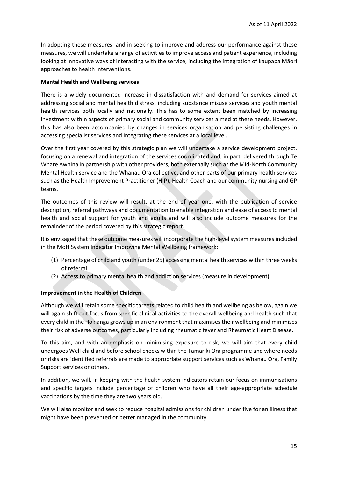In adopting these measures, and in seeking to improve and address our performance against these measures, we will undertake a range of activities to improve access and patient experience, including looking at innovative ways of interacting with the service, including the integration of kaupapa Māori approaches to health interventions.

#### **Mental Health and Wellbeing services**

There is a widely documented increase in dissatisfaction with and demand for services aimed at addressing social and mental health distress, including substance misuse services and youth mental health services both locally and nationally. This has to some extent been matched by increasing investment within aspects of primary social and community services aimed at these needs. However, this has also been accompanied by changes in services organisation and persisting challenges in accessing specialist services and integrating these services at a local level.

Over the first year covered by this strategic plan we will undertake a service development project, focusing on a renewal and integration of the services coordinated and, in part, delivered through Te Whare Awhina in partnership with other providers, both externally such as the Mid-North Community Mental Health service and the Whanau Ora collective, and other parts of our primary health services such as the Health Improvement Practitioner (HIP), Health Coach and our community nursing and GP teams.

The outcomes of this review will result, at the end of year one, with the publication of service description, referral pathways and documentation to enable integration and ease of access to mental health and social support for youth and adults and will also include outcome measures for the remainder of the period covered by this strategic report.

It is envisaged that these outcome measures will incorporate the high-level system measures included in the MoH System Indicator Improving Mental Wellbeing framework:

- (1) Percentage of child and youth (under 25) accessing mental health services within three weeks of referral
- (2) Access to primary mental health and addiction services (measure in development).

#### **Improvement in the Health of Children**

Although we will retain some specific targets related to child health and wellbeing as below, again we will again shift out focus from specific clinical activities to the overall wellbeing and health such that every child in the Hokianga grows up in an environment that maximises their wellbeing and minimises their risk of adverse outcomes, particularly including rheumatic fever and Rheumatic Heart Disease.

To this aim, and with an emphasis on minimising exposure to risk, we will aim that every child undergoes Well child and before school checks within the Tamariki Ora programme and where needs or risks are identified referrals are made to appropriate support services such as Whanau Ora, Family Support services or others.

In addition, we will, in keeping with the health system indicators retain our focus on immunisations and specific targets include percentage of children who have all their age-appropriate schedule vaccinations by the time they are two years old.

We will also monitor and seek to reduce hospital admissions for children under five for an illness that might have been prevented or better managed in the community.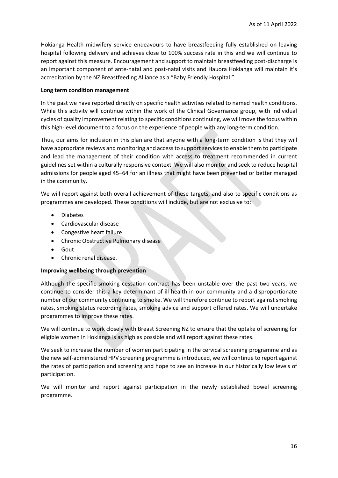Hokianga Health midwifery service endeavours to have breastfeeding fully established on leaving hospital following delivery and achieves close to 100% success rate in this and we will continue to report against this measure. Encouragement and support to maintain breastfeeding post-discharge is an important component of ante-natal and post-natal visits and Hauora Hokianga will maintain it's accreditation by the NZ Breastfeeding Alliance as a "Baby Friendly Hospital."

#### **Long term condition management**

In the past we have reported directly on specific health activities related to named health conditions. While this activity will continue within the work of the Clinical Governance group, with individual cycles of quality improvement relating to specific conditions continuing, we will move the focus within this high-level document to a focus on the experience of people with any long-term condition.

Thus, our aims for inclusion in this plan are that anyone with a long-term condition is that they will have appropriate reviews and monitoring and access to support services to enable them to participate and lead the management of their condition with access to treatment recommended in current guidelines set within a culturally responsive context. We will also monitor and seek to reduce hospital admissions for people aged 45–64 for an illness that might have been prevented or better managed in the community.

We will report against both overall achievement of these targets, and also to specific conditions as programmes are developed. These conditions will include, but are not exclusive to:

- Diabetes
- Cardiovascular disease
- Congestive heart failure
- Chronic Obstructive Pulmonary disease
- Gout
- Chronic renal disease.

#### **Improving wellbeing through prevention**

Although the specific smoking cessation contract has been unstable over the past two years, we continue to consider this a key determinant of ill health in our community and a disproportionate number of our community continuing to smoke. We will therefore continue to report against smoking rates, smoking status recording rates, smoking advice and support offered rates. We will undertake programmes to improve these rates.

We will continue to work closely with Breast Screening NZ to ensure that the uptake of screening for eligible women in Hokianga is as high as possible and will report against these rates.

We seek to increase the number of women participating in the cervical screening programme and as the new self-administered HPV screening programme is introduced, we will continue to report against the rates of participation and screening and hope to see an increase in our historically low levels of participation.

We will monitor and report against participation in the newly established bowel screening programme.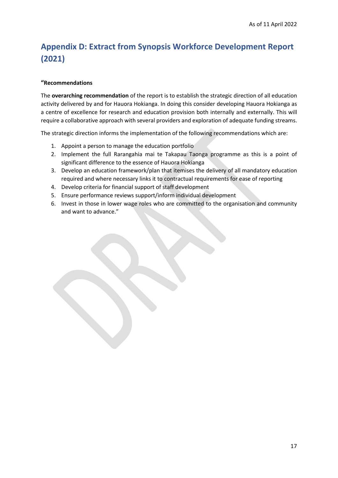## <span id="page-16-0"></span>**Appendix D: Extract from Synopsis Workforce Development Report (2021)**

#### **"Recommendations**

The **overarching recommendation** of the report is to establish the strategic direction of all education activity delivered by and for Hauora Hokianga. In doing this consider developing Hauora Hokianga as a centre of excellence for research and education provision both internally and externally. This will require a collaborative approach with several providers and exploration of adequate funding streams.

The strategic direction informs the implementation of the following recommendations which are:

- 1. Appoint a person to manage the education portfolio
- 2. Implement the full Rarangahia mai te Takapau Taonga programme as this is a point of significant difference to the essence of Hauora Hokianga
- 3. Develop an education framework/plan that itemises the delivery of all mandatory education required and where necessary links it to contractual requirements for ease of reporting
- 4. Develop criteria for financial support of staff development
- 5. Ensure performance reviews support/inform individual development
- 6. Invest in those in lower wage roles who are committed to the organisation and community and want to advance."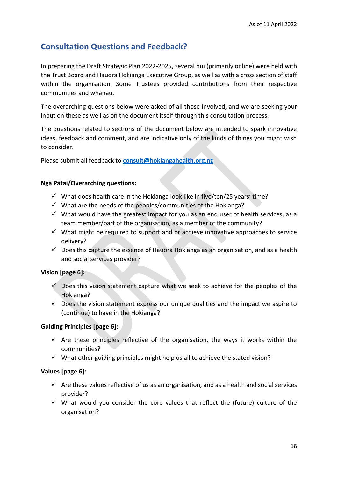## <span id="page-17-0"></span>**Consultation Questions and Feedback?**

In preparing the Draft Strategic Plan 2022-2025, several hui (primarily online) were held with the Trust Board and Hauora Hokianga Executive Group, as well as with a cross section of staff within the organisation. Some Trustees provided contributions from their respective communities and whānau.

The overarching questions below were asked of all those involved, and we are seeking your input on these as well as on the document itself through this consultation process.

The questions related to sections of the document below are intended to spark innovative ideas, feedback and comment, and are indicative only of the kinds of things you might wish to consider.

Please submit all feedback to **[consult@hokiangahealth.org.nz](mailto:consult@hokiangahealth.org.nz)**

#### **Ngā Pātai/Overarching questions:**

- $\checkmark$  What does health care in the Hokianga look like in five/ten/25 years' time?
- $\checkmark$  What are the needs of the peoples/communities of the Hokianga?
- $\checkmark$  What would have the greatest impact for you as an end user of health services, as a team member/part of the organisation, as a member of the community?
- $\checkmark$  What might be required to support and or achieve innovative approaches to service delivery?
- $\checkmark$  Does this capture the essence of Hauora Hokianga as an organisation, and as a health and social services provider?

#### **Vision [page 6]:**

- $\checkmark$  Does this vision statement capture what we seek to achieve for the peoples of the Hokianga?
- $\checkmark$  Does the vision statement express our unique qualities and the impact we aspire to (continue) to have in the Hokianga?

#### **Guiding Principles [page 6]:**

- $\checkmark$  Are these principles reflective of the organisation, the ways it works within the communities?
- $\checkmark$  What other guiding principles might help us all to achieve the stated vision?

#### **Values [page 6]:**

- $\checkmark$  Are these values reflective of us as an organisation, and as a health and social services provider?
- $\checkmark$  What would you consider the core values that reflect the (future) culture of the organisation?